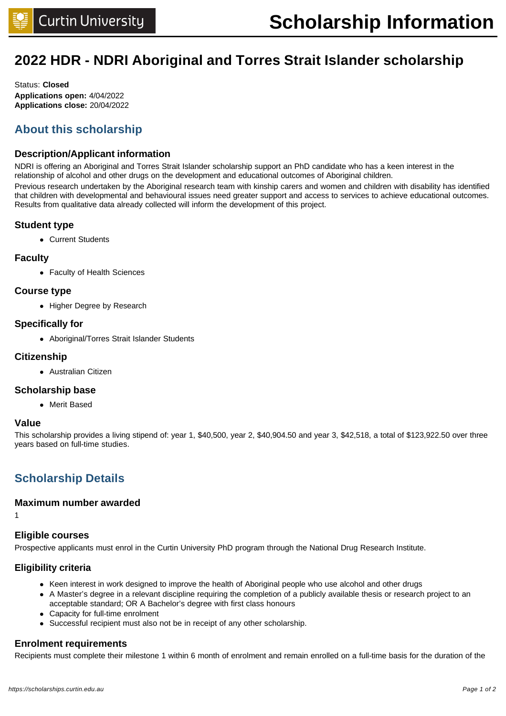## **2022 HDR - NDRI Aboriginal and Torres Strait Islander scholarship**

Status: **Closed Applications open:** 4/04/2022 **Applications close:** 20/04/2022

## **About this scholarship**

#### **Description/Applicant information**

NDRI is offering an Aboriginal and Torres Strait Islander scholarship support an PhD candidate who has a keen interest in the relationship of alcohol and other drugs on the development and educational outcomes of Aboriginal children.

Previous research undertaken by the Aboriginal research team with kinship carers and women and children with disability has identified that children with developmental and behavioural issues need greater support and access to services to achieve educational outcomes. Results from qualitative data already collected will inform the development of this project.

#### **Student type**

• Current Students

#### **Faculty**

• Faculty of Health Sciences

#### **Course type**

• Higher Degree by Research

#### **Specifically for**

• Aboriginal/Torres Strait Islander Students

#### **Citizenship**

• Australian Citizen

#### **Scholarship base**

• Merit Based

#### **Value**

1

This scholarship provides a living stipend of: year 1, \$40,500, year 2, \$40,904.50 and year 3, \$42,518, a total of \$123,922.50 over three years based on full-time studies.

### **Scholarship Details**

#### **Maximum number awarded**

#### **Eligible courses**

Prospective applicants must enrol in the Curtin University PhD program through the National Drug Research Institute.

#### **Eligibility criteria**

- Keen interest in work designed to improve the health of Aboriginal people who use alcohol and other drugs
- A Master's degree in a relevant discipline requiring the completion of a publicly available thesis or research project to an acceptable standard; OR A Bachelor's degree with first class honours
- Capacity for full-time enrolment
- Successful recipient must also not be in receipt of any other scholarship.

#### **Enrolment requirements**

Recipients must complete their milestone 1 within 6 month of enrolment and remain enrolled on a full-time basis for the duration of the